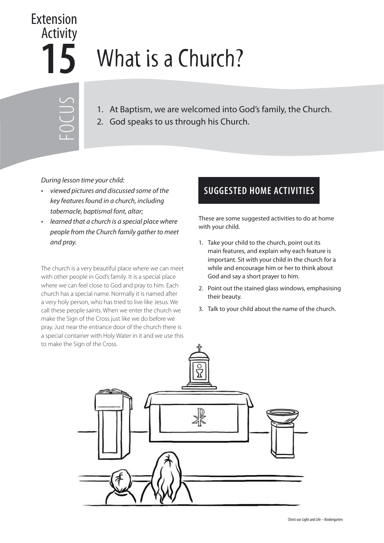## **15** Extension Activity

## What is a Church?

- FOCUS
- 1. At Baptism, we are welcomed into God's family, the Church.
- 2. God speaks to us through his Church.

During lesson time your child:

- viewed pictures and discussed some of the key features found in a church, including tabernacle, baptismal font, altar;
- learned that a church is a special place where people from the Church family gather to meet and pray.

The church is a very beautiful place where we can meet with other people in God's family. It is a special place where we can feel close to God and pray to him. Each church has a special name. Normally it is named after a very holy person, who has tried to live like Jesus. We call these people saints. When we enter the church we make the Sign of the Cross just like we do before we pray. Just near the entrance door of the church there is a special container with Holy Water in it and we use this to make the Sign of the Cross.

## **SUGGESTED HOME ACTIVITIES**

These are some suggested activities to do at home with your child.

- 1. Take your child to the church, point out its main features, and explain why each feature is important. Sit with your child in the church for a while and encourage him or her to think about God and say a short prayer to him.
- 2. Point out the stained glass windows, emphasising their beauty.
- 3. Talk to your child about the name of the church.